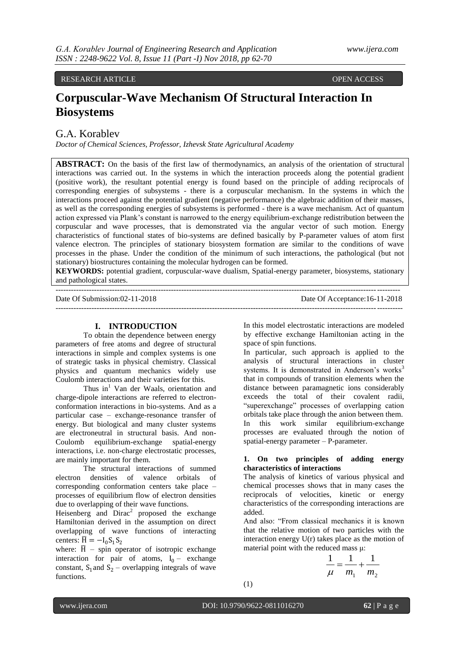# RESEARCH ARTICLE OPEN ACCESS

# **Corpuscular-Wave Mechanism Of Structural Interaction In Biosystems**

# G.А. Korablev

*Doctor of Chemical Sciences, Professor, Izhevsk State Agricultural Academy*

--------------------------------------------------------------------------------------------------------------------------------------

**ABSTRACT:** On the basis of the first law of thermodynamics, an analysis of the orientation of structural interactions was carried out. In the systems in which the interaction proceeds along the potential gradient (positive work), the resultant potential energy is found based on the principle of adding reciprocals of corresponding energies of subsystems - there is a corpuscular mechanism. In the systems in which the interactions proceed against the potential gradient (negative performance) the algebraic addition of their masses, as well as the corresponding energies of subsystems is performed - there is a wave mechanism. Act of quantum action expressed via Plank's constant is narrowed to the energy equilibrium-exchange redistribution between the corpuscular and wave processes, that is demonstrated via the angular vector of such motion. Еnergy characteristics of functional states of bio-systems are defined basically by P-parameter values of atom first valence electron. The principles of stationary biosystem formation are similar to the conditions of wave processes in the phase. Under the condition of the minimum of such interactions, the pathological (but not stationary) biostructures containing the molecular hydrogen can be formed.

**KEYWORDS:** potential gradient, corpuscular-wave dualism, Spatial-energy parameter, biosystems, stationary and pathological states.

Date Of Submission:02-11-2018 Date Of Acceptance:16-11-2018 ---------------------------------------------------------------------------------------------------------------------------------------

#### **I. INTRODUCTION**

To obtain the dependence between energy parameters of free atoms and degree of structural interactions in simple and complex systems is one of strategic tasks in physical chemistry. Classical physics and quantum mechanics widely use Coulomb interactions and their varieties for this.

Thus  $in<sup>1</sup>$  Van der Waals, orientation and charge-dipole interactions are referred to electronconformation interactions in bio-systems. And as a particular case – exchange-resonance transfer of energy. But biological and many cluster systems are electroneutral in structural basis. And non-Coulomb equilibrium-exchange spatial-energy interactions, i.e. non-charge electrostatic processes, are mainly important for them.

The structural interactions of summed electron densities of valence orbitals of corresponding conformation centers take place – processes of equilibrium flow of electron densities due to overlapping of their wave functions.

Heisenberg and  $Dirac<sup>2</sup>$  proposed the exchange Hamiltonian derived in the assumption on direct overlapping of wave functions of interacting centers:  $\overline{H} = -I_0S_1S_2$ 

where:  $\overline{H}$  – spin operator of isotropic exchange interaction for pair of atoms,  $I_0$  – exchange constant,  $S_1$  and  $S_2$  – overlapping integrals of wave functions.

In this model electrostatic interactions are modeled by effective exchange Hamiltonian acting in the space of spin functions.

In particular, such approach is applied to the analysis of structural interactions in cluster systems. It is demonstrated in Anderson's works<sup>3</sup> that in compounds of transition elements when the distance between paramagnetic ions considerably exceeds the total of their covalent radii, "superexchange" processes of overlapping cation orbitals take place through the anion between them. In this work similar equilibrium-exchange processes are evaluated through the notion of spatial-energy parameter – Р-parameter.

#### **1. On two principles of adding energy characteristics of interactions**

The analysis of kinetics of various physical and chemical processes shows that in many cases the reciprocals of velocities, kinetic or energy characteristics of the corresponding interactions are added.

And also: "From classical mechanics it is known that the relative motion of two particles with the interaction energy U(r) takes place as the motion of material point with the reduced mass μ:

$$
\frac{1}{\mu} = \frac{1}{m_1} + \frac{1}{m_2}
$$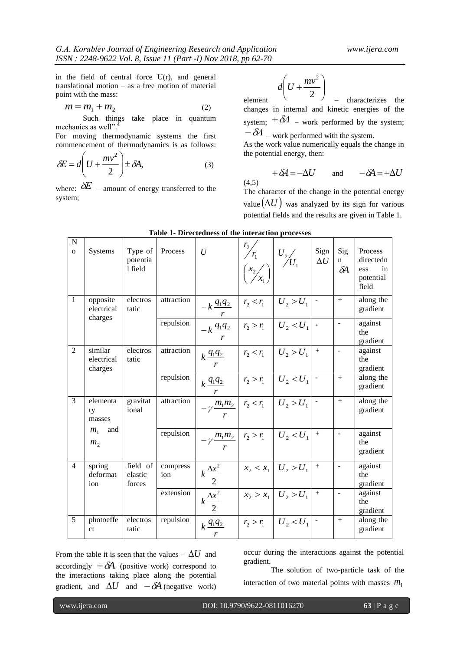in the field of central force U(r), and general translational motion – as a free motion of material point with the mass:

$$
m = m_1 + m_2 \tag{2}
$$

Such things take place in quantum mechanics as well".<sup>4</sup>

For moving thermodynamic systems the first commencement of thermodynamics is as follows:

$$
\delta E = d \left( U + \frac{mv^2}{2} \right) \pm \delta A, \tag{3}
$$

where:  $\delta E$  – amount of energy transferred to the system;

$$
d\left(U+\frac{mv^2}{2}\right)
$$

element  $\begin{pmatrix} 2 & 2 \end{pmatrix}$  - characterizes the changes in internal and kinetic energies of the system;  $+\delta A$  – work performed by the system;  $-\delta A$  – work performed with the system.

As the work value numerically equals the change in the potential energy, then:

$$
+\delta A = -\Delta U \qquad \text{and} \qquad -\delta A = +\Delta U
$$

The character of the change in the potential energy value  $(\Delta U)$  was analyzed by its sign for various potential fields and the results are given in Table 1.

| N<br>$\Omega$  | Systems                                           | Type of Process<br>potentia<br>1 field |                 | U                                                       | $\begin{bmatrix} r_2/r_1 \  r_2/r_1 \end{bmatrix} U_2/v_1$ |                            | Sign<br>$\Delta U$ | Sig<br>$\mathbf n$<br>$\delta A$ | Process<br>directedn<br>in<br>ess<br>potential<br>field |
|----------------|---------------------------------------------------|----------------------------------------|-----------------|---------------------------------------------------------|------------------------------------------------------------|----------------------------|--------------------|----------------------------------|---------------------------------------------------------|
| $\overline{1}$ | opposite<br>electrical<br>charges                 | electros<br>tatic                      | attraction      | $-k \frac{q_1 q_2}{q_1 q_2}$                            |                                                            | $ r_2 < r_1   U_2 > U_1 $  |                    | $+$                              | along the<br>gradient                                   |
|                |                                                   |                                        | repulsion       | $- k \frac{q_1 q_2}{q_1 q_2}$ $r_2 > r_1$ $U_2 < U_1$ + |                                                            |                            |                    |                                  | against<br>the<br>gradient                              |
| 2              | similar<br>electrical<br>charges                  | electros<br>tatic                      | attraction      | $k \frac{q_1 q_2}{r_2}$   $r_2 < r_1$   $U_2 > U_1$     |                                                            |                            | $+$                | $\overline{a}$                   | against<br>the<br>gradient                              |
|                |                                                   |                                        | repulsion       | $k \frac{q_1 q_2}{r_1}$   $r_2 > r_1$   $U_2 < U_1$     |                                                            |                            |                    | $+$                              | along the<br>gradient                                   |
| 3              | elementa<br>ry<br>masses                          | gravitat<br>ional                      | attraction      | $-\gamma \frac{m_1 m_2}{m_1}$ $r_2 < r_1$ $U_2 > U_1$ - |                                                            |                            |                    | $+$                              | along the<br>gradient                                   |
|                | and<br>$m_{\scriptscriptstyle 1}$<br>$m_{\gamma}$ |                                        | repulsion       | $-\gamma \frac{m_1 m_2}{m_1}$ $r_2 > r_1$ $U_2 < U_1$ + |                                                            |                            |                    |                                  | against<br>the<br>gradient                              |
| $\overline{4}$ | spring<br>deformat<br>ion                         | field of<br>elastic<br>forces          | compress<br>ion | $k\frac{\Delta x^2}{2}$                                 |                                                            | $x_2 < x_1   U_2 > U_1$    | $+$                | $\overline{\phantom{a}}$         | against<br>the<br>gradient                              |
|                |                                                   |                                        | extension       | $k\frac{\Delta x^2}{2}$                                 |                                                            | $x_2 > x_1 \mid U_2 > U_1$ | $+$                | $\overline{\phantom{a}}$         | against<br>the<br>gradient                              |
| 5              | photoeffe<br><sub>ct</sub>                        | electros<br>tatic                      | repulsion       | $k\frac{q_1q_2}{q_1q_2}$<br>$\mathbf{r}$                |                                                            | $r_2 > r_1$ $ U_2 < U_1 $  |                    | $+$                              | along the<br>gradient                                   |

**Table 1- Directedness of the interaction processes**

 $(4.5)$ 

From the table it is seen that the values  $-\Delta U$  and accordingly  $+\delta A$  (positive work) correspond to the interactions taking place along the potential gradient, and  $\Delta U$  and  $-\delta A$  (negative work) occur during the interactions against the potential gradient.

The solution of two-particle task of the interaction of two material points with masses  $m_1$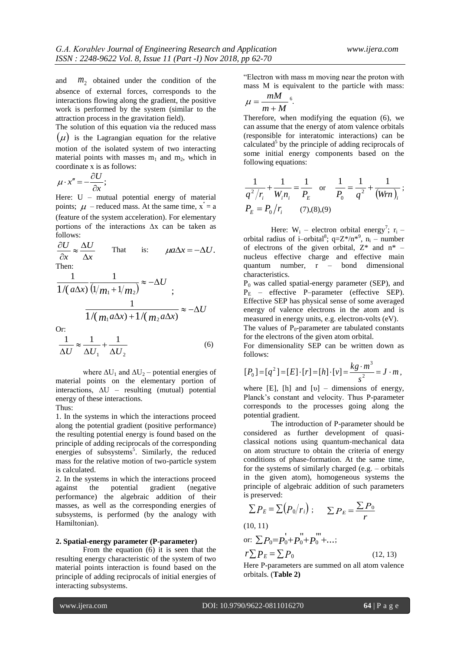and *m*2 obtained under the condition of the absence of external forces, corresponds to the interactions flowing along the gradient, the positive work is performed by the system (similar to the attraction process in the gravitation field).

The solution of this equation via the reduced mass  $(\mu)$  is the Lagrangian equation for the relative motion of the isolated system of two interacting material points with masses  $m_1$  and  $m_2$ , which in coordinate х is as follows:

$$
\mu \cdot x'' = -\frac{\partial U}{\partial x};
$$

Here: U – mutual potential energy of material points;  $\mu$  – reduced mass. At the same time,  $x^{\prime\prime} = a$ (feature of the system acceleration). For elementary portions of the interactions ∆х can be taken as follows:

 $\Delta x$  $\frac{\partial U}{\partial x} \approx \frac{\Delta U}{\Delta y}$  $\partial x$ That is:  $\mu a \Delta x = -\Delta U$ . Then:

$$
\frac{1}{1/(a\Delta x)}\frac{1}{(1/m_1+1/m_2)} \approx -\Delta U
$$
  

$$
\frac{1}{1/(m_1a\Delta x)+1/(m_2a\Delta x)} \approx -\Delta U
$$

Or:

$$
\frac{1}{\Delta U} \approx \frac{1}{\Delta U_1} + \frac{1}{\Delta U_2} \tag{6}
$$

where  $\Delta U_1$  and  $\Delta U_2$  – potential energies of material points on the elementary portion of interactions,  $\Delta U$  – resulting (mutual) potential energy of these interactions.

Thus:

1. In the systems in which the interactions proceed along the potential gradient (positive performance) the resulting potential energy is found based on the principle of adding reciprocals of the corresponding energies of subsystems<sup>5</sup>. Similarly, the reduced mass for the relative motion of two-particle system is calculated.

2. In the systems in which the interactions proceed against the potential gradient (negative performance) the algebraic addition of their masses, as well as the corresponding energies of subsystems, is performed (by the analogy with Hamiltonian).

# **2. Spatial-energy parameter (P-parameter)**

From the equation (6) it is seen that the resulting energy characteristic of the system of two material points interaction is found based on the principle of adding reciprocals of initial energies of interacting subsystems.

"Electron with mass m moving near the proton with mass М is equivalent to the particle with mass:

$$
\mu = \frac{mM}{m+M}^6.
$$

Therefore, when modifying the equation (6), we can assume that the energy of atom valence orbitals (responsible for interatomic interactions) can be calculated<sup>5</sup> by the principle of adding reciprocals of some initial energy components based on the following equations:

$$
\frac{1}{q^2/r_i} + \frac{1}{W_i n_i} = \frac{1}{P_E} \quad \text{or} \quad \frac{1}{P_0} = \frac{1}{q^2} + \frac{1}{(Wrn)_i};
$$
  

$$
P_E = P_0/r_i \qquad (7),(8),(9)
$$

Here:  $W_i$  – electron orbital energy<sup>7</sup>; r<sub>i</sub> – orbital radius of i–orbital<sup>8</sup>; q= $Z^*/n^*$ <sup>9</sup>, n<sub>i</sub> – number of electrons of the given orbital,  $Z^*$  and  $n^*$  – nucleus effective charge and effective main quantum number, r – bond dimensional characteristics.

 $P_0$  was called spatial-energy parameter (SEP), and  $P_E$  – effective P–parameter (effective SEP). Effective SEP has physical sense of some averaged energy of valence electrons in the atom and is measured in energy units, e.g. electron-volts (eV).

The values of  $P_0$ -parameter are tabulated constants for the electrons of the given atom orbital.

For dimensionality SEP can be written down as follows:

follows:  
\n
$$
[P_0] = [q^2] = [E] \cdot [r] = [h] \cdot [v] = \frac{kg \cdot m^3}{s^2} = J \cdot m,
$$

where [E], [h] and  $[v]$  – dimensions of energy, Planck's constant and velocity. Thus Р-parameter corresponds to the processes going along the potential gradient.

The introduction of Р-parameter should be considered as further development of quasiclassical notions using quantum-mechanical data on atom structure to obtain the criteria of energy conditions of phase-formation. At the same time, for the systems of similarly charged (e.g. – orbitals in the given atom), homogeneous systems the principle of algebraic addition of such parameters is preserved:

$$
\sum P_E = \sum (P_0/r_i) ; \qquad \sum P_E = \frac{\sum P_0}{r}
$$
  
(10, 11)  
or:  $\sum P_0 = P_0 + P_0 + P_0 + ...;$   
 $r \sum P_E = \sum P_0$  (12, 13)

Here Р-parameters are summed on all atom valence orbitals. (**Table 2)**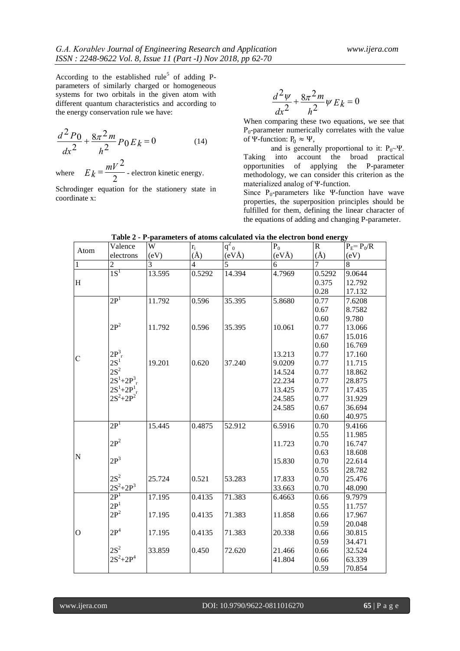According to the established rule<sup>5</sup> of adding Pparameters of similarly charged or homogeneous systems for two orbitals in the given atom with different quantum characteristics and according to the energy conservation rule we have:

$$
\frac{d^2 P_0}{dx^2} + \frac{8\pi^2 m}{h^2} P_0 E_k = 0
$$
 (14)

where  $E_k = \frac{mV^2}{2}$  - electron kinetic energy.

[Schrodinger](http://www.multitran.ru/c/m.exe?t=4048879_1_2) equation for the stationery state in coordinate х:

$$
\frac{d^2\psi}{dx^2} + \frac{8\pi^2 m}{h^2}\psi E_k = 0
$$

When comparing these two equations, we see that  $P_0$ -parameter numerically correlates with the value of Ψ-function:  $P_0 \approx \Psi$ ,

and is generally proportional to it:  $P_0 \sim \Psi$ . Taking into account the broad practical opportunities of applying the P-parameter methodology, we can consider this criterion as the materialized analog of Ψ-function.

Since  $P_0$ -parameters like Ψ-function have wave properties, the superposition principles should be fulfilled for them, defining the linear character of the equations of adding and changing P-parameter.

| Atom           | Valence         | W      |                              | $q^2$ <sub>0</sub> | $P_0$  | ${\bf R}$      | $P_F = P_0/R$ |
|----------------|-----------------|--------|------------------------------|--------------------|--------|----------------|---------------|
|                | electrons       | (eV)   | $\frac{r_i}{(\mathring{A})}$ | (eVÅ)              | (eVÅ)  | $(\AA)$        | (eV)          |
| $\overline{1}$ | $\overline{c}$  | 3      | $\overline{\mathcal{L}}$     | 5                  | 6      | $\overline{7}$ | 8             |
|                | 1S <sup>1</sup> | 13.595 | 0.5292                       | 14.394             | 4.7969 | 0.5292         | 9.0644        |
| H              |                 |        |                              |                    |        | 0.375          | 12.792        |
|                |                 |        |                              |                    |        | 0.28           | 17.132        |
|                | 2P <sup>1</sup> | 11.792 | 0.596                        | 35.395             | 5.8680 | 0.77           | 7.6208        |
|                |                 |        |                              |                    |        | 0.67           | 8.7582        |
|                |                 |        |                              |                    |        | 0.60           | 9.780         |
|                | $2P^2$          | 11.792 | 0.596                        | 35.395             | 10.061 | 0.77           | 13.066        |
|                |                 |        |                              |                    |        | 0.67           | 15.016        |
|                |                 |        |                              |                    |        | 0.60           | 16.769        |
| $\overline{C}$ | $2P_{r}^{3}$    |        |                              |                    | 13.213 | 0.77           | 17.160        |
|                | $2S^1$          | 19.201 | 0.620                        | 37.240             | 9.0209 | 0.77           | 11.715        |
|                | $2S^2$          |        |                              |                    | 14.524 | 0.77           | 18.862        |
|                | $2S^1 + 2P_T^3$ |        |                              |                    | 22.234 | 0.77           | 28.875        |
|                | $2S^1+2P^1_{r}$ |        |                              |                    | 13.425 | 0.77           | 17.435        |
|                | $2S^2 + 2P^2$   |        |                              |                    | 24.585 | 0.77           | 31.929        |
|                |                 |        |                              |                    | 24.585 | 0.67           | 36.694        |
|                |                 |        |                              |                    |        | 0.60           | 40.975        |
|                | 2P <sup>1</sup> | 15.445 | 0.4875                       | 52.912             | 6.5916 | 0.70           | 9.4166        |
|                |                 |        |                              |                    |        | 0.55           | 11.985        |
|                | $2P^2$          |        |                              |                    | 11.723 | 0.70           | 16.747        |
| N              |                 |        |                              |                    |        | 0.63           | 18.608        |
|                | $2P^3$          |        |                              |                    | 15.830 | 0.70           | 22.614        |
|                |                 |        |                              |                    |        | 0.55           | 28.782        |
|                | $2S^2$          | 25.724 | 0.521                        | 53.283             | 17.833 | 0.70           | 25.476        |
|                | $2S^2 + 2P^3$   |        |                              |                    | 33.663 | 0.70           | 48.090        |
|                | 2P <sup>1</sup> | 17.195 | 0.4135                       | 71.383             | 6.4663 | 0.66           | 9.7979        |
|                | 2P <sup>1</sup> |        |                              |                    |        | 0.55           | 11.757        |
|                | $2P^2$          | 17.195 | 0.4135                       | 71.383             | 11.858 | 0.66           | 17.967        |
|                |                 |        |                              |                    |        | 0.59           | 20.048        |
| $\overline{O}$ | 2P <sup>4</sup> | 17.195 | 0.4135                       | 71.383             | 20.338 | 0.66           | 30.815        |
|                |                 |        |                              |                    |        | 0.59           | 34.471        |
|                | $2S^2$          | 33.859 | 0.450                        | 72.620             | 21.466 | 0.66           | 32.524        |
|                | $2S^2 + 2P^4$   |        |                              |                    | 41.804 | 0.66           | 63.339        |
|                |                 |        |                              |                    |        | 0.59           | 70.854        |

**Table 2 - Р-parameters of atoms calculated via the electron bond energy**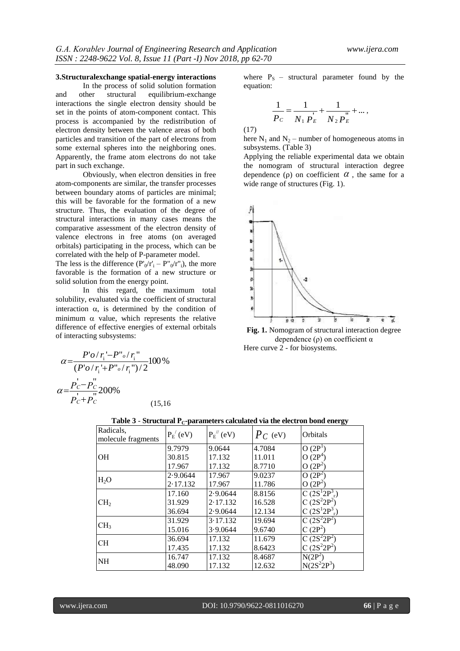### **3.Structuralexchange spatial-energy interactions**

In the process of solid solution formation and other structural equilibrium-exchange interactions the single electron density should be set in the points of atom-component contact. This process is accompanied by the redistribution of electron density between the valence areas of both particles and transition of the part of electrons from some external spheres into the neighboring ones. Apparently, the frame atom electrons do not take part in such exchange.

Obviously, when electron densities in free atom-components are similar, the transfer processes between boundary atoms of particles are minimal; this will be favorable for the formation of a new structure. Thus, the evaluation of the degree of structural interactions in many cases means the comparative assessment of the electron density of valence electrons in free atoms (on averaged orbitals) participating in the process, which can be correlated with the help of P-parameter model.

The less is the difference  $(P'_0/r'_1 - P''_0/r''_1)$ , the more favorable is the formation of a new structure or solid solution from the energy point.

In this regard, the maximum total solubility, evaluated via the coefficient of structural interaction  $\alpha$ , is determined by the condition of minimum  $\alpha$  value, which represents the relative difference of effective energies of external orbitals of interacting subsystems:

$$
\alpha = \frac{P'o/r_i - P''o/r_i''}{(P'o/r_i' + P''o/r_i'')/2}100\%
$$

$$
\alpha = \frac{P_c' - P_c''}{P_c' + P_c''}200\%
$$
(15.16)

where  $P_S$  – structural parameter found by the equation:

$$
\frac{1}{P_c} = \frac{1}{N_1 P_E} + \frac{1}{N_2 P_E} + \dots,
$$

(17)

here  $N_1$  and  $N_2$  – number of homogeneous atoms in subsystems. (Table 3)

Applying the reliable experimental data we obtain the nomogram of structural interaction degree dependence ( $\rho$ ) on coefficient  $\alpha$ , the same for a wide range of structures (Fig. 1).



**Fig. 1.** Nomogram of structural interaction degree dependence (ρ) on coefficient  $α$ Here curve 2 - for biosystems.

| Table 3 - Structural $P_C$ -parameters calculated via the electron bond energy |  |
|--------------------------------------------------------------------------------|--|
|--------------------------------------------------------------------------------|--|

| Radicals,<br>molecule fragments | $P_{E}^{}/(eV)$ | $P_{E}^{}/(eV)$ | $P_C$ (eV) | Orbitals                 |
|---------------------------------|-----------------|-----------------|------------|--------------------------|
|                                 | 9.7979          | 9.0644          | 4.7084     | O(2P <sup>1</sup> )      |
| <b>OH</b>                       | 30.815          | 17.132          | 11.011     | O(2P <sup>4</sup> )      |
|                                 | 17.967          | 17.132          | 8.7710     | $O(2P^2)$                |
| H <sub>2</sub> O                | 2.9.0644        | 17.967          | 9.0237     | $O(2P^2)$                |
|                                 | 2.17.132        | 17.967          | 11.786     | $O(2P^2)$                |
|                                 | 17.160          | 2.9.0644        | 8.8156     | C $(2S^{12}P^{3})$       |
| CH <sub>2</sub>                 | 31.929          | 2.17.132        | 16.528     | $C(2S^22P^2)$            |
|                                 | 36.694          | 2.9.0644        | 12.134     | $C(2S^{1}2P^{3})$        |
| CH <sub>3</sub>                 | 31.929          | 3.17.132        | 19.694     | $\overline{C(2S^22P^2)}$ |
|                                 | 15.016          | 3.9.0644        | 9.6740     | $C(2P^2)$                |
| <b>CH</b>                       | 36.694          | 17.132          | 11.679     | C $(2S^2 2P^2)$          |
|                                 | 17.435          | 17.132          | 8.6423     | $C(2S^22P^2)$            |
| <b>NH</b>                       | 16.747          | 17.132          | 8.4687     | $N(2P^2)$                |
|                                 | 48.090          | 17.132          | 12.632     | $N(2S^2 2P^3)$           |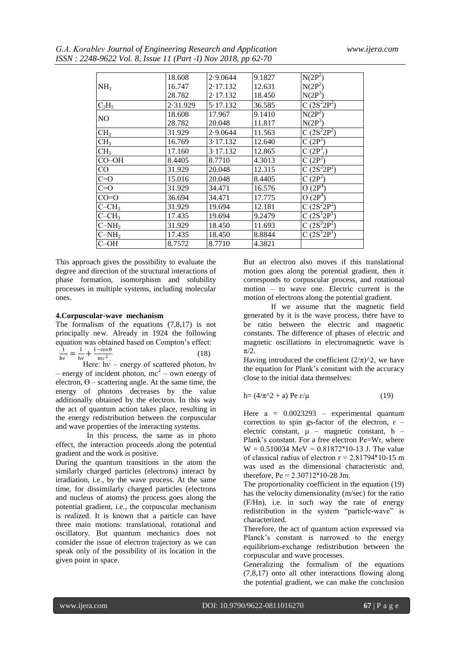*G.А. Korablev Journal of Engineering Research and Application www.ijera.com ISSN : 2248-9622 Vol. 8, Issue 11 (Part -I) Nov 2018, pp 62-70*

|                 | 18.608   | 2.9.0644 | 9.1827 | $N(2P^2)$                        |
|-----------------|----------|----------|--------|----------------------------------|
| NH <sub>2</sub> | 16.747   | 2.17.132 | 12.631 | $N(2P^2)$                        |
|                 | 28.782   | 2.17.132 | 18.450 | N(2P <sup>3</sup> )              |
| $C_2H_5$        | 2.31.929 | 5.17.132 | 36.585 | $C \overline{(2S^2 2P^2)}$       |
| NO              | 18.608   | 17.967   | 9.1410 | $N(2P^2)$                        |
|                 | 28.782   | 20.048   | 11.817 | N(2P <sup>3</sup> )              |
| CH <sub>2</sub> | 31.929   | 2.9.0644 | 11.563 | C $(2S^2 2P^2)$                  |
| CH <sub>3</sub> | 16.769   | 3.17.132 | 12.640 | $C(2P^2)$                        |
| CH <sub>3</sub> | 17.160   | 3.17.132 | 12.865 | C(2P <sup>3</sup> <sub>r</sub> ) |
| CO–OH           | 8.4405   | 8.7710   | 4.3013 | C $(2P^2)$                       |
| CO              | 31.929   | 20.048   | 12.315 | $C(2S^{2}2P^{2})$                |
| $C=0$           | 15.016   | 20.048   | 8.4405 | $C(2P^2)$                        |
| $C=0$           | 31.929   | 34.471   | 16.576 | $O(2P^4)$                        |
| $CO=O$          | 36.694   | 34.471   | 17.775 | $O(2P^4)$                        |
| $C-CH_3$        | 31.929   | 19.694   | 12.181 | $C(2S^22P^2)$                    |
| $C-CH3$         | 17.435   | 19.694   | 9.2479 | $C(2S^12P^1)$                    |
| $C-NH2$         | 31.929   | 18.450   | 11.693 | $C(2S^{2}2P^{2})$                |
| $C-NH2$         | 17.435   | 18.450   | 8.8844 | $C(2S^12P^1)$                    |
| C-OH            | 8.7572   | 8.7710   | 4.3821 |                                  |

This approach gives the possibility to evaluate the degree and direction of the structural interactions of phase formation, isomorphism and solubility processes in multiple systems, including molecular ones.

#### **4.Corpuscular-wave mechanism**

The formalism of the equations (7,8,17) is not principally new. Already in 1924 the following equation was obtained based on Compton's effect: 1

$$
\frac{1}{hv'} = \frac{1}{hv} + \frac{1 - \cos \theta}{mc^2}
$$
 (18)

Here:  $hv -$  energy of scattered photon, hv – energy of incident photon,  $mc^2$  – own energy of electron,  $\Theta$  – scattering angle. At the same time, the energy of photons decreases by the value additionally obtained by the electron. In this way the act of quantum action takes place, resulting in the energy redistribution between the corpuscular and wave properties of the interacting systems.

 In this process, the same as in photo effect, the interaction proceeds along the potential gradient and the work is positive.

During the quantum transitions in the atom the similarly charged particles (electrons) interact by irradiation, i.e., by the wave process. At the same time, for dissimilarly charged particles (electrons and nucleus of atoms) the process goes along the potential gradient, i.e., the corpuscular mechanism is realized. It is known that a particle can have three main motions: translational, rotational and oscillatory. But quantum mechanics does not consider the issue of electron trajectory as we can speak only of the possibility of its location in the given point in space.

But an electron also moves if this translational motion goes along the potential gradient, then it corresponds to corpuscular process, and rotational motion – to wave one. Electric current is the motion of electrons along the potential gradient.

 If we assume that the magnetic field generated by it is the wave process, there have to be ratio between the electric and magnetic constants. The difference of phases of electric and magnetic oscillations in electromagnetic wave is π/2.

Having introduced the coefficient  $(2/\pi)^{2}$ , we have the equation for Plank's constant with the accuracy close to the initial data themselves:

$$
h = (4/\pi^2 + a) Pe \epsilon/\mu \tag{19}
$$

Here  $a = 0.0023293$  – experimental quantum correction to spin gs-factor of the electron,  $\varepsilon$  – electric constant,  $\mu$  – magnetic constant, h – Plank's constant. For a free electron Pе=Wr, where  $W = 0.510034$  MeV = 0.81872 $*10-13$  J. The value of classical radius of electron  $r = 2.81794 \times 10^{-15}$  m was used as the dimensional characteristic and, therefore,  $Pe = 2.30712 \times 10^{-28}$  Jm.

The proportionality coefficient in the equation (19) has the velocity dimensionality (m/sec) for the ratio (F/Hn), i.e. in such way the rate of energy redistribution in the system "particle-wave" is characterized.

Therefore, the act of quantum action expressed via Planck's constant is narrowed to the energy equilibrium-exchange redistribution between the corpuscular and wave processes.

Generalizing the formalism of the equations (7,8,17) onto all other interactions flowing along the potential gradient, we can make the conclusion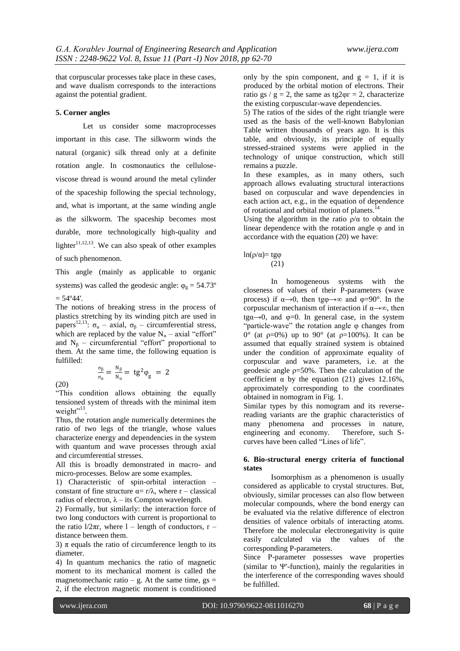that corpuscular processes take place in these cases, and wave dualism corresponds to the interactions against the potential gradient.

#### **5. Corner angles**

Let us consider some macroprocesses important in this case. The silkworm winds the natural (organic) silk thread only at a definite rotation angle. In cosmonautics the celluloseviscose thread is wound around the metal cylinder of the spaceship following the special technology, and, what is important, at the same winding angle as the silkworm. The spaceship becomes most durable, more technologically high-quality and lighter $11,12,13$ . We can also speak of other examples of such phenomenon.

This angle (mainly as applicable to organic systems) was called the geodesic angle:  $\varphi_{g} = 54.73^{\circ}$  $= 54^{\circ}44'.$ 

The notions of breaking stress in the process of plastics stretching by its winding pitch are used in passes  $\sigma_{\alpha}$  – axial,  $\sigma_{\beta}$  – circumferential stress, which are replaced by the value  $N_a$  – axial "effort" and  $N_B$  – circumferential "effort" proportional to them. At the same time, the following equation is fulfilled:

(20)

σβ  $\frac{\sigma_{\beta}}{\sigma_{\alpha}} = \frac{N_{\beta}}{N_{\alpha}}$ 

"This condition allows obtaining the equally tensioned system of threads with the minimal item weight"<sup>13</sup>.

 $\frac{N\beta}{N\alpha} = \text{tg}^2 \varphi_{\text{g}} = 2$ 

Thus, the rotation angle numerically determines the ratio of two legs of the triangle, whose values characterize energy and dependencies in the system with quantum and wave processes through axial and circumferential stresses.

All this is broadly demonstrated in macro- and micro-processes. Below are some examples.

1) Characteristic of spin-orbital interaction – constant of fine structure  $\alpha = r/\lambda$ , where r – classical radius of electron,  $\lambda$  – its Compton wavelength.

2) Formally, but similarly: the interaction force of two long conductors with current is proportional to the ratio  $1/2\pi r$ , where  $1$  – length of conductors,  $r$  – distance between them.

3)  $\pi$  equals the ratio of circumference length to its diameter.

4) In quantum mechanics the ratio of magnetic moment to its mechanical moment is called the magnetomechanic ratio – g. At the same time,  $gs =$ 2, if the electron magnetic moment is conditioned

only by the spin component, and  $g = 1$ , if it is produced by the orbital motion of electrons. Their ratio gs / g = 2, the same as tg2 $\varphi$ r = 2, characterize the existing corpuscular-wave dependencies.

5) The ratios of the sides of the right triangle were used as the basis of the well-known Babylonian Table written thousands of years ago. It is this table, and obviously, its principle of equally stressed-strained systems were applied in the technology of unique construction, which still remains a puzzle.

In these examples, as in many others, such approach allows evaluating structural interactions based on corpuscular and wave dependencies in each action act, e.g., in the equation of dependence of rotational and orbital motion of planets.<sup>14</sup>

Using the algorithm in the ratio  $\rho/\alpha$  to obtain the linear dependence with the rotation angle φ and in accordance with the equation (20) we have:

#### ln(ρ/α)= tgφ (21)

In homogeneous systems with the closeness of values of their P-parameters (wave process) if  $\alpha \rightarrow 0$ , then tg $\varphi \rightarrow \infty$  and  $\varphi = 90^\circ$ . In the corpuscular mechanism of interaction if  $\alpha \rightarrow \infty$ , then  $t\text{g}\alpha \rightarrow 0$ , and  $\varphi = 0$ . In general case, in the system "particle-wave" the rotation angle φ changes from 0° (at ρ=0%) up to 90° (at ρ=100%). It can be assumed that equally strained system is obtained under the condition of approximate equality of corpuscular and wave parameters, i.e. at the geodesic angle  $p=50%$ . Then the calculation of the coefficient  $\alpha$  by the equation (21) gives 12.16%, approximately corresponding to the coordinates obtained in nomogram in Fig. 1.

Similar types by this nomogram and its reversereading variants are the graphic characteristics of many phenomena and processes in nature, engineering and economy. Therefore, such Scurves have been called "Lines of life".

#### **6. Bio-structural energy criteria of functional states**

Isomorphism as a phenomenon is usually considered as applicable to crystal structures. But, obviously, similar processes can also flow between molecular compounds, where the bond energy can be evaluated via the relative difference of electron densities of valence orbitals of interacting atoms. Therefore the molecular electronegativity is quite easily calculated via the values of the corresponding P-parameters.

Since Р-parameter possesses wave properties (similar to  $\Psi$ -function), mainly the regularities in the interference of the corresponding waves should be fulfilled.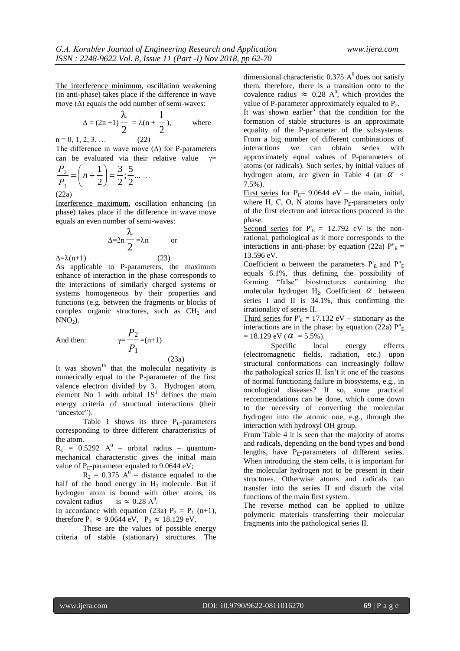The interference minimum, oscillation weakening (in anti-phase) takes place if the difference in wave move  $(\Delta)$  equals the odd number of semi-waves:

$$
\Delta = (2n+1)\frac{\lambda}{2} = \lambda(n+\frac{1}{2}),
$$
 where

 $n = 0, 1, 2, 3, \ldots$  (22) The difference in wave move  $(∆)$  for P-parameters can be evaluated via their relative value  $v=$ 

$$
\frac{P_2}{P_1} = \left(n + \frac{1}{2}\right) = \frac{3}{2}; \frac{5}{2} \dots \dots
$$
\n(22a)

Interference maximum, oscillation enhancing (in phase) takes place if the difference in wave move equals an even number of semi-waves:

$$
\Delta = 2n \frac{\lambda}{2} = \lambda n \qquad \text{or}
$$

 $\Delta = \lambda(n+1)$  (23) As applicable to P-parameters, the maximum enhance of interaction in the phase corresponds to the interactions of similarly charged systems or systems homogeneous by their properties and functions (e.g. between the fragments or blocks of complex organic structures, such as  $CH<sub>2</sub>$  and  $NNO<sub>2</sub>$ ).

And then:

$$
\gamma = \frac{P_2}{P_1} = (n+1)
$$
\n(23a)

It was shown<sup>15</sup> that the molecular negativity is numerically equal to the P-parameter of the first valence electron divided by 3. Hydrogen atom, element No 1 with orbital  $1S<sup>1</sup>$  defines the main energy criteria of structural interactions (their "ancestor").

Table 1 shows its three  $P_E$ -parameters corresponding to three different characteristics of the atom.

 $R_1$  = 0.5292  $A^0$  – orbital radius – quantummechanical characteristic gives the initial main value of  $P_E$ -parameter equaled to 9.0644 eV;

 $R_2 = 0.375 A^0$  – distance equaled to the half of the bond energy in  $H_2$  molecule. But if hydrogen atom is bound with other atoms, its covalent radius  $\approx 0.28 A^0$ .

In accordance with equation (23a)  $P_2 = P_1$  (n+1), therefore  $P_1 \approx 9.0644 \text{ eV}$ ,  $P_2 \approx 18.129 \text{ eV}$ .

These are the values of possible energy criteria of stable (stationary) structures. The dimensional characteristic 0.375  $A<sup>0</sup>$  does not satisfy them, therefore, there is a transition onto to the covalence radius  $\approx 0.28$  A<sup>0</sup>, which provides the value of P-parameter approximately equaled to  $P_2$ . It was shown earlier<sup>5</sup> that the condition for the formation of stable structures is an approximate equality of the P-parameter of the subsystems. From a big number of different combinations of interactions we can obtain series with approximately equal values of P-parameters of atoms (or radicals). Such series, by initial values of hydrogen atom, are given in Table 4 (at  $\alpha <$ 7.5%).

First series for  $P_E$ = 9.0644 eV – the main, initial, where H, C, O, N atoms have  $P_E$ -parameters only of the first electron and interactions proceed in the phase.

Second series for  $P'_E = 12.792$  eV is the nonrational, pathological as it more corresponds to the interactions in anti-phase: by equation (22a)  $P''_E$  = 13.596 eV.

Coefficient  $\alpha$  between the parameters  $P'_E$  and  $P''_E$ equals 6.1%, thus defining the possibility of forming "false" biostructures containing the molecular hydrogen  $H_2$ . Coefficient  $\alpha$  between series I and II is 34.1%, thus confirming the irrationality of series II.

Third series for  $P_E = 17.132$  eV – stationary as the interactions are in the phase: by equation (22a)  $P_{E}$  $= 18.129 \text{ eV}$  (  $\alpha = 5.5\%$  ).

Specific local energy effects (electromagnetic fields, radiation, etc.) upon structural conformations can increasingly follow the pathological series II. Isn't it one of the reasons of normal functioning failure in biosystems, e.g., in oncological diseases? If so, some practical recommendations can be done, which come down to the necessity of converting the molecular hydrogen into the atomic one, e.g., through the interaction with hydroxyl OH group.

From Table 4 it is seen that the majority of atoms and radicals, depending on the bond types and bond lengths, have  $P_E$ -parameters of different series. When introducing the stem cells, it is important for the molecular hydrogen not to be present in their structures. Otherwise atoms and radicals can transfer into the series II and disturb the vital functions of the main first system.

The reverse method can be applied to utilize polymeric materials transferring their molecular fragments into the pathological series II.